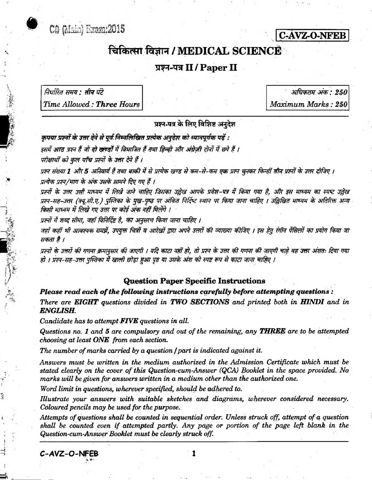



# चिकित्सा विज्ञान / MEDICAL SCIENCE

## प्रश्न-पत्र II / Paper II

निर्धारित समय : तीन घंटे Time Allowed: Three Hours

अधिकतम अंक : 250 Maximum Marks: 250

प्रश्न-पत्र के लिए विशिष्ट अनदेश

कपया प्रश्नों के उत्तर देने से पूर्व निम्नलिखित प्रत्येक अनदेश को ध्यानपूर्वक पढें : इसमें आठ प्रश्न हैं जो दो खण्डोँ में विभाजित हैं तथा हिन्दी और अंग्रेजी दोनों में छपे हैं ।

परीक्षार्थी को कुल पाँच प्रश्नों के उत्तर देने हैं ।

प्रश्न संख्या 1 और 5 अनिवार्य हैं तथा बाकी में से प्रत्येक खण्ड से कम-से-कम एक प्रश्न चुनकर किन्हीं तीन प्रश्नों के उत्तर दीजिए । प्रत्येक प्रश्न/भाग के अंक उसके सामने दिए गए हैं ।

प्रश्नों के उत्तर उसी माध्यम में लिखे जाने चाहिए जिसका उल्लेख आपके प्रवेश-पत्र में किया गया है. और इस माध्यम का स्पष्ट उल्लेख प्रश्न-सह-उत्तर (क्यू.सी.ए.) पुंस्तिका के मुख-पुष्ठ पर अंकित निर्दिष्ट स्थान पर किया जाना चाहिए । उल्लिखित माध्यम के अतिरिक्त अन्य किसी माध्यम में लिखे गए उत्तर पर कोई अंक नहीं मिलेंगे ।

प्रश्नों में शब्द सीमा, जहाँ विनिर्दिष्ट है, का अनुसरण किया जाना चाहिए ।

जहाँ कहीं भी आवश्यक समझें. उपयुक्त चित्रों व आरेखों द्वारा अपने उत्तरों की व्याख्या कीजिए । इस हेतु रंगीन पेंसिलों का प्रयोग किया जा सकता है ।

प्रश्नों के उत्तरों की गणना क्रमानसार की जाएगी । यदि काटा नहीं हो, तो प्रश्न के उत्तर की गणना की जाएगी चाहे वह उत्तर अंशतः दिया गया हो । प्रश्न-सह-उत्तर पुस्तिका में खाली छोड़ा हुआ पृष्ठ या उसके अंश को स्पष्ट रूप से काटा जाना चाहिए ।

#### **Question Paper Specific Instructions**

Please read each of the following instructions carefully before attempting questions: There are EIGHT questions divided in TWO SECTIONS and printed both in HINDI and in **ENGLISH.** 

Candidate has to attempt FIVE questions in all.

Questions no. 1 and 5 are compulsory and out of the remaining, any **THREE** are to be attempted choosing at least ONE from each section.

The number of marks carried by a question / part is indicated against it.

Answers must be written in the medium authorized in the Admission Certificate which must be stated clearly on the cover of this Question-cum-Answer (QCA) Booklet in the space provided. No marks will be given for answers written in a medium other than the authorized one.

Word limit in questions, wherever specified, should be adhered to.

Illustrate your answers with suitable sketches and diagrams, wherever considered necessary. Coloured pencils may be used for the purpose.

Attempts of questions shall be counted in sequential order. Unless struck off, attempt of a question shall be counted even if attempted partly. Any page or portion of the page left blank in the Question-cum-Answer Booklet must be clearly struck off.

C-AVZ-O-NFEB

 $\mathbf{1}$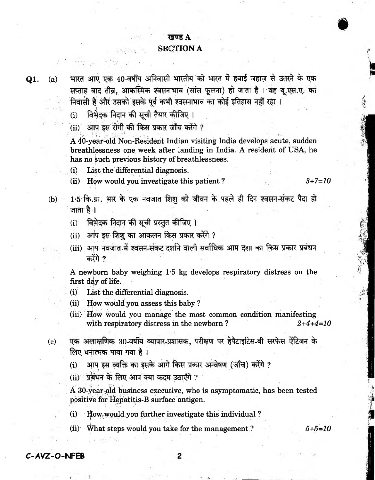### *A*

#### **SECTION A**

**Q1.** (a) भारत आए एक 40-वर्षीय अनिवासी भारतीय को भारत में हवाई जहाज़ से उतरने के एक सप्ताह बांद तीव्र, आकस्मिक श्वसनाभाव (सांस फुलना) हो जाता है । वह यू.एस.ए. का <u>निवासी है<sup>:</sup> और उसको इसके पूर्व कभी श्वसनाभाव का कोई इतिहास नहीं रहा ।</u>

(i) विभेदक निदान की सूची तैयार कीजिए।

**(ii)**

<sup>71</sup> **A 40-year-old Non-Resident Indian visiting India develops acute, sudden breathlessness one week after landing in India. A resident of USA, he has no such previous history of breathlessness.**

- **(i) List the differential diagnosis.**
- **(ii) How would you investigate this patient ?** *3+7=10*

**#**

**17, j'lt.**

**#il #** ,

*t.: % fi X* \*F-

**I**

- (b) 1.5 कि.ग्रा. भार के एक नवजात शिशु को जीवन के पहले ही दिन श्वसन-संकट पैदा हो **जाता है** ।
	- (i) विभेदक निदान की सूची प्रस्तुत कीजिए ।
	- (ii) आप इस शिश का आकलन किस प्रकार करेंगे ?
	- (iii) आप नवजात में श्वसन-संकट दर्शाने वाली सर्वाधिक आम दशा का किस प्रकार प्रबंधन करेंगे ?

**A newborn baby weighing 1\*5 kg develops respiratory distress on the first day of life.**

- **(i) List the differential diagnosis.**
- **(ii) How would you assess this baby ?**
- **(iii) How would you manage the most common condition manifesting with respiratory distress in the newborn ?** *2+4+4=10*
- (c) एक अलाक्षणिक 30-वर्षीय व्यापार-प्रशासक, परीक्षण पर हेपैटाइटिस-बी सरफेस ऐंटिजन के **IGU धनात्मक पाया गया है।** 
	- <u>(i)</u> आप इस व्यक्ति का इसके आगे किस प्रकार अन्वेषण (जाँच) करेंगे ?
	- (ii) प्रबंधन के लिए आप क्या कदम उठाएँगे ?

**A 30-year-old business executive, who is asymptomatic, has been tested positive for Hepatitis-B surface antigen.**

**(i) How ^ould you further investigate this individual ?**

**(ii) What steps would you take for the management ?** *5+5-10*

**C-AVZ-O-NPEB**

2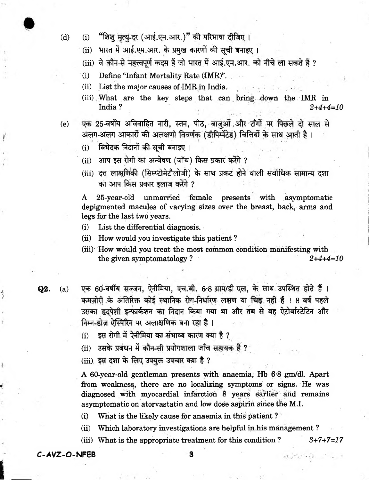- 
- (d) (i) "शिशु मृत्यु-दर (आई.एम.आर.)" की परिभाषा दीजिए ।
	- **(ii) \*TRW 3 3nf .tt>T.3TR. % Jig® ^BR®ff ^ ^ «HT5tT |**
	- (iii) वे कौन-से महत्त्वपूर्ण कदम हैं जो भारत में आई.एम.आर. को नीचे ला सकते हैं ?
	- **(i) Define "Infant Mortality Rate (IMR)".**
	- (ii) List the major causes of IMR in India.
	- **(iii) What are the key steps that can bring down the IMR in India ?** *2+4+4=10*
- 
- (e) एक 25-वर्षीय अविवाहित नारी, स्तन, पीठ, बाजुओं और टाँगों पर पिछले दो साल से अलग-अलग आकारों की अलक्षणी विवर्णक (डीपिग्मेंटेड) चितियों के साथ आती है।
	- (i) विभेदक निदानों की सची बनाइए ।
	- (ii) आप इस रोगी का अन्वेषण (जाँच) किस प्रकार करेंगे ?
	- (iii) दत्त लाक्षणिकी (सिम्प्टोमेटौलोजी) के साथ प्रकट होने वाली सर्वाधिक सामान्य दशा का आप किस प्रकार इलाज करेंगे ?

**A 25-year-old unmarried female presents with asymptomatic depigmented macules of varying sizes over the breast, back, arms and legs for the last two years.**

- **(i) List the differential diagnosis.**
- **(ii) How would you investigate this patient ?**
- **(iii)' How would you treat the most common condition manifesting with the given symptomatology ?** *2+4+4=10*
- 

**Q2.** (a) एक 60-वर्षीय सज्जन, ऐनीमिया, एच.बी. 6.8 ग्राम/डी एल, के साथ उपस्थित होते हैं । कमज़ोरी के अतिरिक्त कोई स्थानिक रोग-निर्धारण लक्षण या चिह्न नहीं हैं । 8 वर्ष पहले उसका हृदपेशी इन्फार्कशन का निदान किया गया था और तब से वह ऐटोर्वास्टेटिन और **निम्न-डोज़ ऐस्पिरिन पर अलाक्षणिक बना रहा है**।

- $(i)$  इस रोगी में ऐनीमिया का संभाव्य कारण क्या है ?
- (ii) उसके प्रबंधन में कौन-सी प्रयोगशाला जाँच सहायक हैं ?
- (iii) इस दशा के लिए उपयुक्त उपचार क्या है ?

**A 60-year-old gentleman presents with anaemia, Hb 6\*8 gm/dl. Apart from weakness, there are no localizing symptoms or signs. He was diagnosed with myocardial infarction 8 years earlier and remains asymptomatic on atorvastatin and low dose aspirin since the M.I.**

**(i) What is the likely cause for anaemia in this patient ?**

- **(ii) Which laboratory investigations are helpful in his management ?**
- **(iii) What is the appropriate treatment for this condition ?** *3+7+7=17*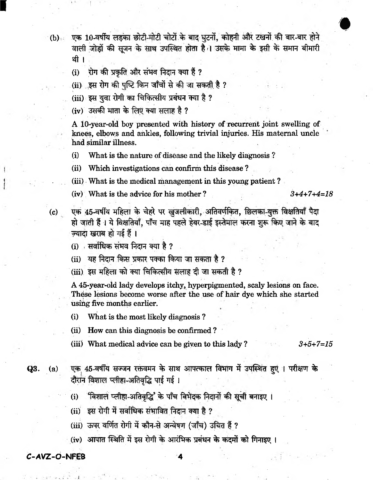(b) एक 10-वर्षीय लड़का छोटी-मोटी चोटों के बाद घुटनों, कोहनी और टखनों की बार-बार होने वाली जोड़ों की सूजन के साथ उपस्थित होता है। उसके मामा के इसी के समान बीमारी थी ।

रोग की प्रकृति और संभव निदान क्या हैं ?  $(i)$ 

(ii) इस रोग की पुष्टि किन जाँचों से की जा सकती है ?

- (iii) इस युवा रोगी का चिकित्सीय प्रबंधन क्या है ?
- (iv) उसकी माता के लिए क्या सलाह है ?

A 10-year-old boy presented with history of recurrent joint swelling of knees, elbows and ankles, following trivial injuries. His maternal uncle had similar illness.

 $(i)$ What is the nature of disease and the likely diagnosis?

 $(ii)$ Which investigations can confirm this disease?

(iii) What is the medical management in this young patient?

(iv) What is the advice for his mother?

 $3+4+7+4=18$ 

एक 45-वर्षीय महिला के चेहरे पर खुजलीकारी, अतिवर्णकित, छिलका-युक्त विक्षतियाँ पैदा हो जाती हैं। ये विक्षतियाँ, पाँच माह पहले हेयर-डाई इस्तेमाल करना शुरू किए जाने के बाद ज़्यादा खराब हो गई हैं।

(i) सर्वाधिक संभव निदान क्या है ?

(ii) यह निदान किस प्रकार पक्का किया जा सकता है ?

(iii) इस महिला को क्या चिकित्सीय सलाह दी जा सकती है ?

A 45-year-old lady develops itchy, hyperpigmented, scaly lesions on face. These lesions become worse after the use of hair dye which she started using five months earlier.

 $(i)$ What is the most likely diagnosis?

- (ii) How can this diagnosis be confirmed?
- (iii) What medical advice can be given to this lady?  $3+5+7=15$

Q3.  $(a)$ 

 $(c)$ 

एक 45-वर्षीय सज्जन रक्तवमन के साथ आपत्काल विभाग में उपस्थित हुएं । परीक्षण के दौरान विशाल प्लीहा-अतिवृद्धि पाई गई।

- 'विशाल प्लीहा-अतिवृद्धि' के पाँच विभेदक निदानों की सूची बनाइए ।  $\bf (i)$
- (ii) इस रोगी में सर्वाधिक संभावित निदान क्या है ?
- (iii) ऊपर वर्णित रोगी में कौन-से अन्वेषण (जाँच) उचित हैं ?
- (iv) आपात स्थिति में इस रोगी के आरंभिक प्रबंधन के कदमों को गिनाइए ।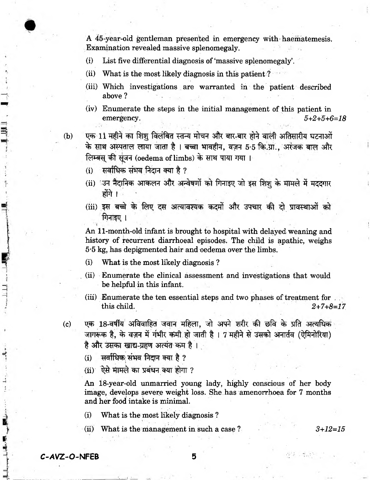**A 45-year-old gentleman presented in emergency With haematemesis. Examination revealed massive splenomegaly.**

- **(i) List five differential diagnosis of'massive splenomegaly'.**
- **(ii) What is the most likely diagnosis in this patient ?**
- **(iii) Which investigations are warranted in the patient described above ?**
- **(iv) Enumerate the steps in the initial management of this patient in emergency.** *5+2+5+6=18*
- (b) एक 11 महीने का शिशु विलंबित स्तन्य मोचन और बार-बार होने वाली अतिसारीय घटनाओं के साथ अस्पताल लाया जाता है । बच्चा भावहीन, वज़न 5-5 कि.ग्रा., अरंजक बाल और **लिम्बस की सूजन (oedema of limbs) के साथ पाया गया।** 
	- $(i)$  सर्वाधिक संभव निदान क्या है ?
	- (ii) 3न नैदानिक आकलन और अन्वेषणों को गिनाइए जो इस शिशू के मामले में मददगार <u>होंगे ।</u>
	- (iii) इस बच्चे के लिए दस अत्यावश्यक कदमों और उपचार की दो प्रावस्थाओं को **I**

**An 11-month-old infant is brought to hospital with delayed weaning and history of recurrent diarrhoeal episodes. The child is apathic, weighs 5\*5 kg, has depigmented hair and oedema over the limbs.**

- **(i) What is the most likely diagnosis ?**
- **(ii) Enumerate the clinical assessment and investigations that would be helpful in this infant.**
- **(iii) Enumerate the ten essential steps and two phases of treatment for . this child.** *2+7+8=17*
- (c) **एक 18-वर्षीय अविवाहित जवान महिला, जो अपने श**रीर की छवि के प्रति अत्यधिक जागरूक है, के वज़न में गंभीर कमी हो जाती है। 7 महीने से उसको अनार्तव (ऐमिनोरिया) है और उसका खाद्य-ग्रहण अत्यंत कम है।
	- (i) सर्वाधिक संभव निदान क्या है ?
	- $(ii)$  ऐसे मामले का प्रबंधन क्या होगा ?

**An 18-year-old unmarried young lady, highly conscious of her body image, develops severe weight loss. She has amenorrhoea for 7 months and her food intake is minimal.**

**(i) What is the most likely diagnosis ?**

**(ii) What is the management in such a case ?** *3+12=15*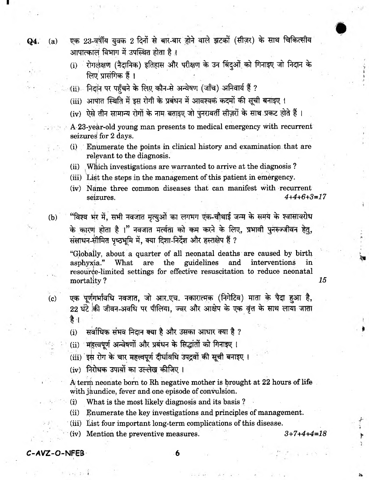Q4.  $(a)$ 

 $(b)$ 

 $(c)$ 

एक 23-वर्षीय युवक 2 दिनों से बार-बार होने वाले झटकों (सीज़र) के साथ चिकित्सीय आपात्कालं विभाग में उपस्थित होता है।

(i) रोगलक्षण (नैदानिक) इतिहास और परीक्षण के उन बिंदुओं को गिनाइए जो निदान के लिए प्रासंगिक हैं।

- (ii) निदान पर पहँचने के लिए कौन-से अन्वेषण (जाँच) अनिवार्य हैं ?
- (iii) आपात स्थिति में इस रोगी के प्रबंधन में आवश्यक कदमों की सूची बनाइए ।
- (iv) ऐसे तीन सामान्य रोगों के नाम बताइए जो पुनरावर्ती सीज़रों के साथ प्रकट होते हैं ।
- A 23-year-old young man presents to medical emergency with recurrent seizures for 2 days.
- (i) Enumerate the points in clinical history and examination that are relevant to the diagnosis.
- (ii) Which investigations are warranted to arrive at the diagnosis?
- (iii) List the steps in the management of this patient in emergency.
- (iv) Name three common diseases that can manifest with recurrent  $4+4+6+3=17$ seizures.
- "विश्व भर में, सभी नवजात मृत्यूओं का लगभग एक-चौथाई जन्म के समय के श्वासावरोध के कारण होता है ।" नवजात मर्त्यता को कम करने के लिए, प्रभावी पुनरुज्जीवन हेतु, संसाधन-सीमित पृष्ठभूमि में, क्या दिशा-निर्देश और हस्तक्षेप हैं ?

"Globally, about a quarter of all neonatal deaths are caused by birth are the guidelines asphyxia." What and interventions in resource-limited settings for effective resuscitation to reduce neonatal mortality?

- एक पूर्णगर्भावधि नवजात, जो आर.एच. नकारात्मक (निगेटिव) माता के पैदा हुआ है, 22 घंटे की जीवन-अवधि पर पीलिया, ज्वर और आक्षेप के एक वृत्त के साथ लाया जाता है ।
- सर्वाधिक संभव निदान क्या है और उसका आधार क्या है ?  $(i)$
- (ii) महत्त्वपूर्ण अन्वेषणों और प्रबंधन के सिद्धांतों को गिनाइए।
- (iii) इस रोग के चार महत्त्वपूर्ण दीर्घावधि उपद्रवों की सूची बनाइए ।
- (iv) निरोधक उपायों का उल्लेख कीजिए।

A term neonate born to Rh negative mother is brought at 22 hours of life with jaundice, fever and one episode of convulsion.

- $\bf (i)$ What is the most likely diagnosis and its basis?
- (ii) Enumerate the key investigations and principles of management.
- (iii) List four important long-term complications of this disease.
- (iv) Mention the preventive measures.

 $3+7+4+4=18$ 

15

C-AVZ-O-NFEB

6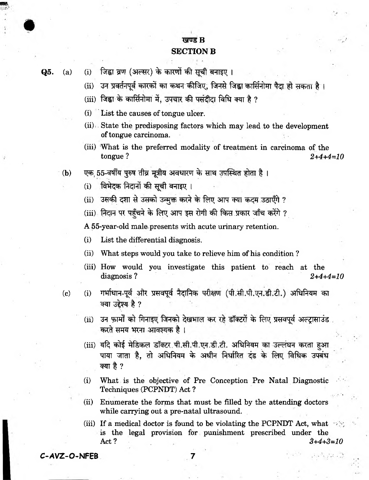## ਸਥਾਰ R **SECTION B**

Q5.

जिह्वा व्रण (अल्सर) के कारणों की सूची बनाइए ।  $(a)$  $(i)$ 

- उन प्रवर्तनपूर्व कारकों का कथन कीजिए, जिनसे जिह्वा कार्सिनोमा पैदा हो सकता है।  $(ii)$
- (iii) जिह्वा के कार्सिनोमा में, उपचार की पसंदीदा विधि क्या है ?
- List the causes of tongue ulcer.  $(i)$
- (ii) State the predisposing factors which may lead to the development of tongue carcinoma.
- (iii) What is the preferred modality of treatment in carcinoma of the tongue?  $2+4+4=10$
- एक 55-वर्षीय पुरुष तीव्र मुत्रीय अवधारण के साथ उपस्थित होता है।  $(b)$ 
	- विभेदक निदानों की सूची बनाइए ।  $(i)$
	- (ii) उसकी दशा से उसको उन्मुक्त करने के लिए आप क्या कदम उठाएँगे ?

(iii) निदान पर पहुँचने के लिए आप इस रोगी की किस प्रकार जाँच करेंगे ?

A 55-year-old male presents with acute urinary retention.

List the differential diagnosis.  $(i)$ 

- What steps would you take to relieve him of his condition?  $(ii)$
- (iii) How would you investigate this patient to reach at the diagnosis?  $2+4+4=10$
- $(c)$
- गर्भाधान-पूर्व और प्रसवपूर्व नैदानिक परीक्षण (पी.सी.पी.एन.डी.टी.) अधिनियम का  $(i)$ क्या उद्देश्य है ?
- उन फ़ार्मों को गिनाइए जिनको देखभाल कर रहे डॉक्टरों के लिए प्रसवपूर्व अल्ट्रासाउंड  $(ii)$ करते समय भरना आवश्यक है।
- (iii) यदि कोई मेडिकल डॉक्टर पी.सी.पी.एन.डी.टी. अधिनियम का उल्लंघन करता हुआ पाया जाता है, तो अधिनियम के अधीन निर्धारित दंड के लिए विधिक उपबंध क्या है ?
- What is the objective of Pre Conception Pre Natal Diagnostic  $(i)$ Techniques (PCPNDT) Act?
- $(ii)$ Enumerate the forms that must be filled by the attending doctors while carrying out a pre-natal ultrasound.
- (iii) If a medical doctor is found to be violating the PCPNDT Act, what  $\rightarrow$ is the legal provision for punishment prescribed under the Act? 3+4+3=10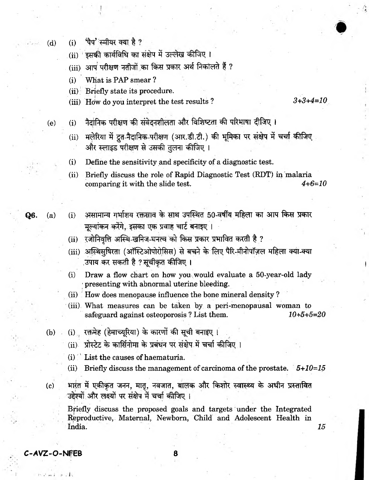- पैप' स्मीयर क्या है ? **(d) (i)**
	- (ii) इसकी कार्यविधि का संक्षेप में उल्लेख कीजिए।
	- $(iii)$  आप परीक्षण नतीजों का किस प्रकार अर्थ निकॉलते हैं ?
	- **(i) What is PAP smear ?**
	- **(ii) Briefly state its procedure.**
	- **(iii) How do you interpret the test results ?** *3+3+4=10*

- (e) (i) नैदानिक परीक्षण की संवेदनशीलता और विशिष्टता की परिभाषा दीजिए।
	- (ii) मलेरिया में द्रत-नैदानिक-परीक्षण (आर.डी.टी.) की भूमिका पर संक्षेप में चर्चा कीजिए और स्लाइड परीक्षण से उसकी तुलना कीजिए ।
	- **(i) Define the sensitivity and specificity of a diagnostic test.**
	- **(ii) Briefly discuss the role of Rapid Diagnostic Test (RDT) in malaria comparing it with the slide test.** *4+6=10*
- **Q6.** (a) (i) असामान्य गर्भाशय रक्तस्राव के साथ उपस्थित 50-वर्षीय महिला का आप किस प्रकार **मुल्यांकन करेंगे, इसका एक प्रवाह चार्ट बनाइए**।
	- (ii) रजोनिवृत्ति अस्थि-खनिज-घनत्व को किस प्रकार प्रभावित करती है ?
	- (iii) अस्थिसुषिरता (ऑस्टिओपोरोसिस) से बचने के लिए पैरि-मीनोपॉज़ल महिला क्या-क्या ,उपाय कर सकती है ? सूचीकृत कीजिए **।**
	- (i) Draw a flow chart on how you would evaluate a 50-year-old lady **1 presenting with abnormal uterine bleeding.**
	- (ii) How does menopause influence the bone mineral density?
	- **(iii) What measures can be taken by a peri-menopausal woman to safeguard against osteoporosis ? List them.** *10+5+5=20*
	- (b) . (i) रक्तमेह (हेमाच्यूरिया) के कारणों की सूची बनाइए ।
		- (ii) प्रोस्टेट के कार्सिनोमा के प्रबंधन पर संक्षेप में चर्चा कीजिए ।
		- **(i) ' List the causes of haematuria.**
		- **(ii) Briefly discuss the management of carcinoma of the prostate.** *5+10=15*

**(c) 3 tj# £ cT ^fr, Rig, ^rsrra, affc %?rR % 3T«ftr w rl^ f** उद्देश्यों और लक्ष्यों पर संक्षेप में चर्चा कीजिए ।

**Briefly discuss the proposed goals and targets under the Integrated Reproductive, Maternal, Newborn, Child and Adolescent Health in India.** *15*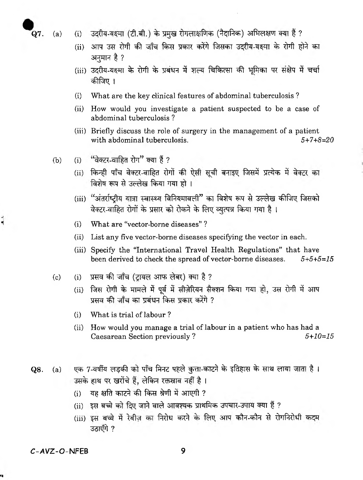۸í

- .<br>Q7. (a) (i) उदरीय-यक्ष्मा (टी.बी.) के प्रमुख रोगलाक्षणिक (नैदानिक) अभिलक्षण क्या हैं ?
	- (ii) आप उस रोगी की जाँच किस प्रकार करेंगे जिसका उदरीय-यक्ष्मा के रोगी होने का **अनुमान है** ?
	- (iii) उदरीय-यक्ष्मा के रोगी के प्रबंधन में शल्य चिकित्सा की भूमिका पर संक्षेप में चर्चा कीजिए ।
	- (i) What are the key clinical features of abdominal tuberculosis ?
	- (ii) How would you investigate a patient suspected to be a case of abdominal tuberculosis ?
	- (iii) Briefly discuss the role of surgery in the management of a patient with abdominal tuberculosis. *5+7+8=20*
	- (b)  $(i)$  'वेक्टर-वाहित रोग" क्या हैं ?
		- (ii) किन्ही पाँच वेक्टर-वाहित रोगों की ऐसी सूची बनाइए जिसमें प्रत्येक में वेक्टर का विशेष रूप से उल्लेख किया गया हो ।
		- (iii) "अंतर्राष्ट्रीय यात्रा स्वास्थ्य विनियमावली" का विशेष रूप से उल्लेख कीजिए जिसको वेक्टर-वाहित रोगों के प्रसार को रोकने के लिए व्युत्पन्न किया गया है।
		- (i) What are "vector-borne diseases" ?
		- (ii) List any five vector-borne diseases specifying the vector in each.
		- (iii) Specify the "International Travel Health Regulations" that have been derived to check the spread of vector-borne diseases. *5+5+5=15*

(c) (i) sract eft stto w | ?

- (ii) जिस रोगी के मामले में पूर्व में सीज़ेरियन सैक्शन किया गया हो, उस रोगी में आप <u>प्रसव की जाँच का प्रबंधन किस प्रकार करेंगे ?</u>
- (i) What is trial of labour ?
- (ii) How would you manage a trial of labour in a patient who has had a Caesarean Section previously ? *5+10=15*
- $Q8.$  (a) एक 7-वर्षीय लड़की को पाँच मिनट पहले कुत्ता-काटने के इतिहास के साथ लाया जाता है। उसके हाथ पर खरोंचे हैं, लेकिन रक्तस्राव नहीं है।
	- $(i)$  यह क्षति काटने की किस श्रेणी में आएगी ?
	- (ii) इस बच्चे को दिए जाने वाले आवश्यक प्राथमिक उपचार-उपाय क्या हैं ?
	- (iii) इस बच्चे में रेबीज़ का निरोध करने के लिए आप कौन-कौन से रोगनिरोधी कदम **33ाएँगे ?**